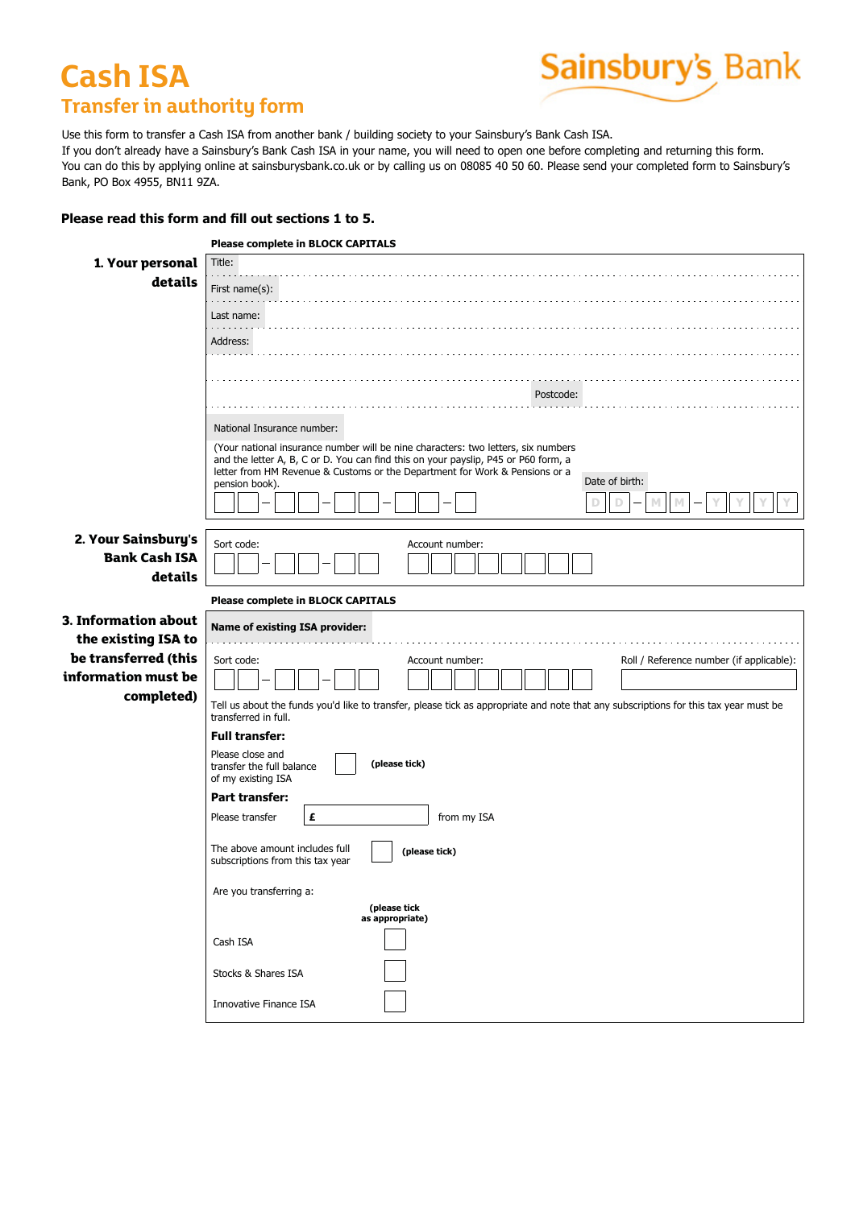## **Cash ISA Transfer in authority form Cash ISATransfer in authority form**

## Sainsbury's Bank

Use this form to transfer a Cash ISA from another bank / building society to your Sainsbury's Bank Cash ISA. Use this form to transfer a Cash ISA from another bank / building society to your Sainsbury's Bank Cash ISA.<br>If you don't already have a Sainsbury's Bank Cash ISA in your name, you will need to open one before completing a In you don't aiready nave a Sanisbury's Bank Cash ISA in your name, you win need to open one before completing and returning this form.<br>You can do this by applying online at sainsburysbank.co.uk or by calling us on 08085 4 **buddens** of the B<sub>PP</sub><sub>1</sub>, map on **Cash ISA** If further evidence of my investment (e.g. passes contact me at my home address.  $\mathbf{r}$ 

## Please read this form and fill out sections 1 to 5.

|                             | Please read this form and fill out sections 1 to 5.                                                                                                               |  |  |  |  |
|-----------------------------|-------------------------------------------------------------------------------------------------------------------------------------------------------------------|--|--|--|--|
|                             | Please complete in BLOCK CAPITALS                                                                                                                                 |  |  |  |  |
| 1. Your personal<br>details | Title:                                                                                                                                                            |  |  |  |  |
|                             | First name $(s)$ :                                                                                                                                                |  |  |  |  |
|                             | Last name:                                                                                                                                                        |  |  |  |  |
|                             | Address:                                                                                                                                                          |  |  |  |  |
|                             |                                                                                                                                                                   |  |  |  |  |
|                             |                                                                                                                                                                   |  |  |  |  |
|                             | Postcode:                                                                                                                                                         |  |  |  |  |
|                             | National Insurance number:                                                                                                                                        |  |  |  |  |
|                             | (Your national insurance number will be nine characters: two letters, six numbers                                                                                 |  |  |  |  |
|                             | and the letter A, B, C or D. You can find this on your payslip, P45 or P60 form, a<br>letter from HM Revenue & Customs or the Department for Work & Pensions or a |  |  |  |  |
|                             | Date of birth:<br>pension book).                                                                                                                                  |  |  |  |  |
|                             |                                                                                                                                                                   |  |  |  |  |
| 2. Your Sainsbury's         | Sort code:                                                                                                                                                        |  |  |  |  |
| <b>Bank Cash ISA</b>        | Account number:                                                                                                                                                   |  |  |  |  |
| details                     |                                                                                                                                                                   |  |  |  |  |
|                             | Please complete in BLOCK CAPITALS                                                                                                                                 |  |  |  |  |
| 3. Information about        | Name of existing ISA provider:                                                                                                                                    |  |  |  |  |
| the existing ISA to         |                                                                                                                                                                   |  |  |  |  |
| be transferred (this        | Sort code:<br>Roll / Reference number (if applicable):<br>Account number:                                                                                         |  |  |  |  |
| information must be         |                                                                                                                                                                   |  |  |  |  |
| completed)                  | Tell us about the funds you'd like to transfer, please tick as appropriate and note that any subscriptions for this tax year must be                              |  |  |  |  |
|                             | transferred in full.<br><b>Full transfer:</b>                                                                                                                     |  |  |  |  |
|                             | Please close and                                                                                                                                                  |  |  |  |  |
|                             | (please tick)<br>transfer the full balance                                                                                                                        |  |  |  |  |
|                             | of my existing ISA<br>Part transfer:                                                                                                                              |  |  |  |  |
|                             | £<br>Please transfer<br>from my ISA                                                                                                                               |  |  |  |  |
|                             |                                                                                                                                                                   |  |  |  |  |
|                             | The above amount includes full<br>(please tick)<br>subscriptions from this tax year                                                                               |  |  |  |  |
|                             |                                                                                                                                                                   |  |  |  |  |
|                             | Are you transferring a:<br>(please tick                                                                                                                           |  |  |  |  |
|                             | as appropriate)                                                                                                                                                   |  |  |  |  |
|                             | Cash ISA                                                                                                                                                          |  |  |  |  |
|                             |                                                                                                                                                                   |  |  |  |  |
|                             | Stocks & Shares ISA                                                                                                                                               |  |  |  |  |
|                             |                                                                                                                                                                   |  |  |  |  |